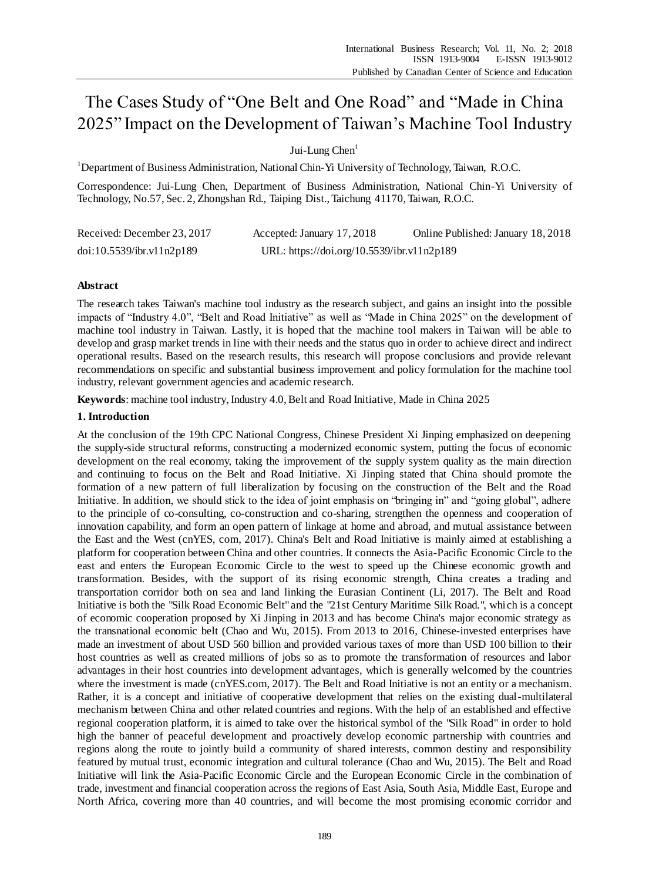# The Cases Study of "One Belt and One Road" and "Made in China 2025" Impact on the Development of Taiwan's Machine Tool Industry

Jui-Lung  $Chen<sup>1</sup>$ 

<sup>1</sup>Department of Business Administration, National Chin-Yi University of Technology, Taiwan, R.O.C.

Correspondence: Jui-Lung Chen, Department of Business Administration, National Chin-Yi University of Technology, No.57, Sec. 2, Zhongshan Rd., Taiping Dist., Taichung 41170, Taiwan, R.O.C.

| Received: December 23, 2017 | Accepted: January 17, 2018                 | Online Published: January 18, 2018 |
|-----------------------------|--------------------------------------------|------------------------------------|
| doi:10.5539/ibr.v11n2p189   | URL: https://doi.org/10.5539/ibr.v11n2p189 |                                    |

## **Abstract**

The research takes Taiwan's machine tool industry as the research subject, and gains an insight into the possible impacts of "Industry 4.0", "Belt and Road Initiative" as well as "Made in China 2025" on the development of machine tool industry in Taiwan. Lastly, it is hoped that the machine tool makers in Taiwan will be able to develop and grasp market trends in line with their needs and the status quo in order to achieve direct and indirect operational results. Based on the research results, this research will propose conclusions and provide relevant recommendations on specific and substantial business improvement and policy formulation for the machine tool industry, relevant government agencies and academic research.

**Keywords**: machine tool industry, Industry 4.0, Belt and Road Initiative, Made in China 2025

### **1. Introduction**

At the conclusion of the 19th CPC National Congress, Chinese President Xi Jinping emphasized on deepening the supply-side structural reforms, constructing a modernized economic system, putting the focus of economic development on the real economy, taking the improvement of the supply system quality as the main direction and continuing to focus on the Belt and Road Initiative. Xi Jinping stated that China should promote the formation of a new pattern of full liberalization by focusing on the construction of the Belt and the Road Initiative. In addition, we should stick to the idea of joint emphasis on "bringing in" and "going global", adhere to the principle of co-consulting, co-construction and co-sharing, strengthen the openness and cooperation of innovation capability, and form an open pattern of linkage at home and abroad, and mutual assistance between the East and the West (cnYES, com, 2017). China's Belt and Road Initiative is mainly aimed at establishing a platform for cooperation between China and other countries. It connects the Asia-Pacific Economic Circle to the east and enters the European Economic Circle to the west to speed up the Chinese economic growth and transformation. Besides, with the support of its rising economic strength, China creates a trading and transportation corridor both on sea and land linking the Eurasian Continent (Li, 2017). The Belt and Road Initiative is both the "Silk Road Economic Belt" and the "21st Century Maritime Silk Road.", which is a concept of economic cooperation proposed by Xi Jinping in 2013 and has become China's major economic strategy as the transnational economic belt (Chao and Wu, 2015). From 2013 to 2016, Chinese-invested enterprises have made an investment of about USD 560 billion and provided various taxes of more than USD 100 billion to their host countries as well as created millions of jobs so as to promote the transformation of resources and labor advantages in their host countries into development advantages, which is generally welcomed by the countries where the investment is made (cnYES.com, 2017). The Belt and Road Initiative is not an entity or a mechanism. Rather, it is a concept and initiative of cooperative development that relies on the existing dual-multilateral mechanism between China and other related countries and regions. With the help of an established and effective regional cooperation platform, it is aimed to take over the historical symbol of the "Silk Road" in order to hold high the banner of peaceful development and proactively develop economic partnership with countries and regions along the route to jointly build a community of shared interests, common destiny and responsibility featured by mutual trust, economic integration and cultural tolerance (Chao and Wu, 2015). The Belt and Road Initiative will link the Asia-Pacific Economic Circle and the European Economic Circle in the combination of trade, investment and financial cooperation across the regions of East Asia, South Asia, Middle East, Europe and North Africa, covering more than 40 countries, and will become the most promising economic corridor and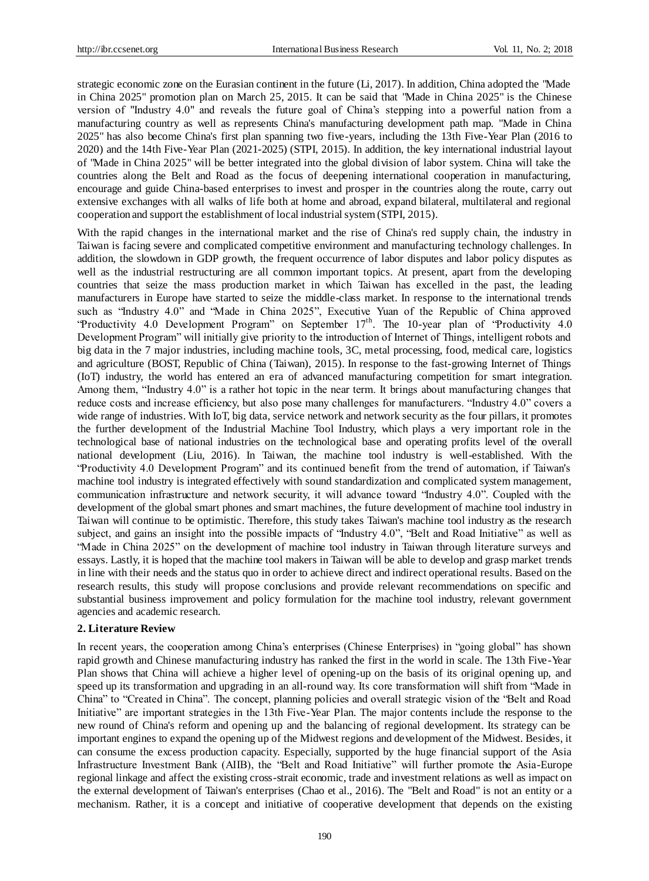strategic economic zone on the Eurasian continent in the future (Li, 2017). In addition, China adopted the "Made in China 2025" promotion plan on March 25, 2015. It can be said that "Made in China 2025" is the Chinese version of "Industry 4.0" and reveals the future goal of China's stepping into a powerful nation from a manufacturing country as well as represents China's manufacturing development path map. "Made in China 2025" has also become China's first plan spanning two five-years, including the 13th Five-Year Plan (2016 to 2020) and the 14th Five-Year Plan (2021-2025) (STPI, 2015). In addition, the key international industrial layout of "Made in China 2025" will be better integrated into the global division of labor system. China will take the countries along the Belt and Road as the focus of deepening international cooperation in manufacturing, encourage and guide China-based enterprises to invest and prosper in the countries along the route, carry out extensive exchanges with all walks of life both at home and abroad, expand bilateral, multilateral and regional cooperation and support the establishment of local industrial system (STPI, 2015).

With the rapid changes in the international market and the rise of China's red supply chain, the industry in Taiwan is facing severe and complicated competitive environment and manufacturing technology challenges. In addition, the slowdown in GDP growth, the frequent occurrence of labor disputes and labor policy disputes as well as the industrial restructuring are all common important topics. At present, apart from the developing countries that seize the mass production market in which Taiwan has excelled in the past, the leading manufacturers in Europe have started to seize the middle-class market. In response to the international trends such as "Industry 4.0" and "Made in China 2025", Executive Yuan of the Republic of China approved "Productivity 4.0 Development Program" on September  $17<sup>th</sup>$ . The 10-year plan of "Productivity 4.0 Development Program" will initially give priority to the introduction of Internet of Things, intelligent robots and big data in the 7 major industries, including machine tools, 3C, metal processing, food, medical care, logistics and agriculture (BOST, Republic of China (Taiwan), 2015). In response to the fast-growing Internet of Things (IoT) industry, the world has entered an era of advanced manufacturing competition for smart integration. Among them, "Industry 4.0" is a rather hot topic in the near term. It brings about manufacturing changes that reduce costs and increase efficiency, but also pose many challenges for manufacturers. "Industry 4.0" covers a wide range of industries. With IoT, big data, service network and network security as the four pillars, it promotes the further development of the Industrial Machine Tool Industry, which plays a very important role in the technological base of national industries on the technological base and operating profits level of the overall national development (Liu, 2016). In Taiwan, the machine tool industry is well-established. With the "Productivity 4.0 Development Program" and its continued benefit from the trend of automation, if Taiwan's machine tool industry is integrated effectively with sound standardization and complicated system management, communication infrastructure and network security, it will advance toward "Industry 4.0". Coupled with the development of the global smart phones and smart machines, the future development of machine tool industry in Taiwan will continue to be optimistic. Therefore, this study takes Taiwan's machine tool industry as the research subject, and gains an insight into the possible impacts of "Industry 4.0", "Belt and Road Initiative" as well as "Made in China 2025" on the development of machine tool industry in Taiwan through literature surveys and essays. Lastly, it is hoped that the machine tool makers in Taiwan will be able to develop and grasp market trends in line with their needs and the status quo in order to achieve direct and indirect operational results. Based on the research results, this study will propose conclusions and provide relevant recommendations on specific and substantial business improvement and policy formulation for the machine tool industry, relevant government agencies and academic research.

#### **2. Literature Review**

In recent years, the cooperation among China's enterprises (Chinese Enterprises) in "going global" has shown rapid growth and Chinese manufacturing industry has ranked the first in the world in scale. The 13th Five-Year Plan shows that China will achieve a higher level of opening-up on the basis of its original opening up, and speed up its transformation and upgrading in an all-round way. Its core transformation will shift from "Made in China" to "Created in China". The concept, planning policies and overall strategic vision of the "Belt and Road Initiative" are important strategies in the 13th Five-Year Plan. The major contents include the response to the new round of China's reform and opening up and the balancing of regional development. Its strategy can be important engines to expand the opening up of the Midwest regions and development of the Midwest. Besides, it can consume the excess production capacity. Especially, supported by the huge financial support of the Asia Infrastructure Investment Bank (AIIB), the "Belt and Road Initiative" will further promote the Asia-Europe regional linkage and affect the existing cross-strait economic, trade and investment relations as well as impact on the external development of Taiwan's enterprises (Chao et al., 2016). The "Belt and Road" is not an entity or a mechanism. Rather, it is a concept and initiative of cooperative development that depends on the existing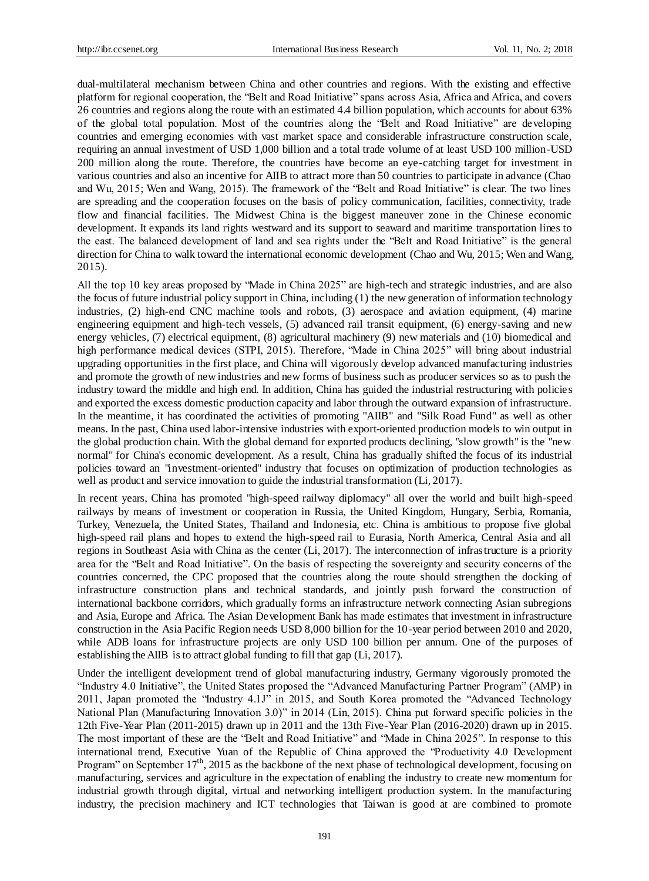dual-multilateral mechanism between China and other countries and regions. With the existing and effective platform for regional cooperation, the "Belt and Road Initiative" spans across Asia, Africa and Africa, and covers 26 countries and regions along the route with an estimated 4.4 billion population, which accounts for about 63% of the global total population. Most of the countries along the "Belt and Road Initiative" are developing countries and emerging economies with vast market space and considerable infrastructure construction scale, requiring an annual investment of USD 1,000 billion and a total trade volume of at least USD 100 million-USD 200 million along the route. Therefore, the countries have become an eye-catching target for investment in various countries and also an incentive for AIIB to attract more than 50 countries to participate in advance (Chao and Wu, 2015; Wen and Wang, 2015). The framework of the "Belt and Road Initiative" is clear. The two lines are spreading and the cooperation focuses on the basis of policy communication, facilities, connectivity, trade flow and financial facilities. The Midwest China is the biggest maneuver zone in the Chinese economic development. It expands its land rights westward and its support to seaward and maritime transportation lines to the east. The balanced development of land and sea rights under the "Belt and Road Initiative" is the general direction for China to walk toward the international economic development (Chao and Wu, 2015; Wen and Wang, 2015).

All the top 10 key areas proposed by "Made in China 2025" are high-tech and strategic industries, and are also the focus of future industrial policy support in China, including (1) the new generation of information technology industries, (2) high-end CNC machine tools and robots, (3) aerospace and aviation equipment, (4) marine engineering equipment and high-tech vessels, (5) advanced rail transit equipment, (6) energy-saving and new energy vehicles, (7) electrical equipment, (8) agricultural machinery (9) new materials and (10) biomedical and high performance medical devices (STPI, 2015). Therefore, "Made in China 2025" will bring about industrial upgrading opportunities in the first place, and China will vigorously develop advanced manufacturing industries and promote the growth of new industries and new forms of business such as producer services so as to push the industry toward the middle and high end. In addition, China has guided the industrial restructuring with policie s and exported the excess domestic production capacity and labor through the outward expansion of infrastructure. In the meantime, it has coordinated the activities of promoting "AIIB" and "Silk Road Fund" as well as other means. In the past, China used labor-intensive industries with export-oriented production models to win output in the global production chain. With the global demand for exported products declining, "slow growth" is the "new normal" for China's economic development. As a result, China has gradually shifted the focus of its industrial policies toward an "investment-oriented" industry that focuses on optimization of production technologies as well as product and service innovation to guide the industrial transformation (Li, 2017).

In recent years, China has promoted "high-speed railway diplomacy" all over the world and built high-speed railways by means of investment or cooperation in Russia, the United Kingdom, Hungary, Serbia, Romania, Turkey, Venezuela, the United States, Thailand and Indonesia, etc. China is ambitious to propose five global high-speed rail plans and hopes to extend the high-speed rail to Eurasia, North America, Central Asia and all regions in Southeast Asia with China as the center (Li, 2017). The interconnection of infrastructure is a priority area for the "Belt and Road Initiative". On the basis of respecting the sovereignty and security concerns of the countries concerned, the CPC proposed that the countries along the route should strengthen the docking of infrastructure construction plans and technical standards, and jointly push forward the construction of international backbone corridors, which gradually forms an infrastructure network connecting Asian subregions and Asia, Europe and Africa. The Asian Development Bank has made estimates that investment in infrastructure construction in the Asia Pacific Region needs USD 8,000 billion for the 10-year period between 2010 and 2020, while ADB loans for infrastructure projects are only USD 100 billion per annum. One of the purposes of establishing the AIIB is to attract global funding to fill that gap (Li, 2017).

Under the intelligent development trend of global manufacturing industry, Germany vigorously promoted the "Industry 4.0 Initiative", the United States proposed the "Advanced Manufacturing Partner Program" (AMP) in 2011, Japan promoted the "Industry 4.1J" in 2015, and South Korea promoted the "Advanced Technology National Plan (Manufacturing Innovation 3.0)" in 2014 (Lin, 2015). China put forward specific policies in the 12th Five-Year Plan (2011-2015) drawn up in 2011 and the 13th Five-Year Plan (2016-2020) drawn up in 2015. The most important of these are the "Belt and Road Initiative" and "Made in China 2025". In response to this international trend, Executive Yuan of the Republic of China approved the "Productivity 4.0 Development Program" on September  $17<sup>th</sup>$ , 2015 as the backbone of the next phase of technological development, focusing on manufacturing, services and agriculture in the expectation of enabling the industry to create new momentum for industrial growth through digital, virtual and networking intelligent production system. In the manufacturing industry, the precision machinery and ICT technologies that Taiwan is good at are combined to promote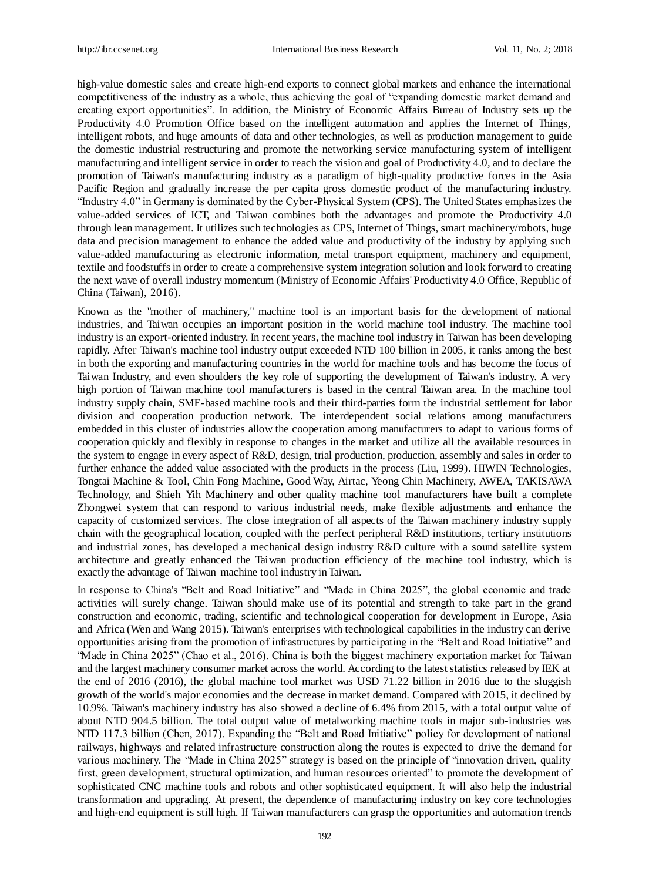high-value domestic sales and create high-end exports to connect global markets and enhance the international competitiveness of the industry as a whole, thus achieving the goal of "expanding domestic market demand and creating export opportunities". In addition, the Ministry of Economic Affairs Bureau of Industry sets up the Productivity 4.0 Promotion Office based on the intelligent automation and applies the Internet of Things, intelligent robots, and huge amounts of data and other technologies, as well as production management to guide the domestic industrial restructuring and promote the networking service manufacturing system of intelligent manufacturing and intelligent service in order to reach the vision and goal of Productivity 4.0, and to declare the promotion of Taiwan's manufacturing industry as a paradigm of high-quality productive forces in the Asia Pacific Region and gradually increase the per capita gross domestic product of the manufacturing industry. "Industry 4.0" in Germany is dominated by the Cyber-Physical System (CPS). The United States emphasizes the value-added services of ICT, and Taiwan combines both the advantages and promote the Productivity 4.0 through lean management. It utilizes such technologies as CPS, Internet of Things, smart machinery/robots, huge data and precision management to enhance the added value and productivity of the industry by applying such value-added manufacturing as electronic information, metal transport equipment, machinery and equipment, textile and foodstuffs in order to create a comprehensive system integration solution and look forward to creating the next wave of overall industry momentum (Ministry of Economic Affairs' Productivity 4.0 Office, Republic of China (Taiwan), 2016).

Known as the "mother of machinery," machine tool is an important basis for the development of national industries, and Taiwan occupies an important position in the world machine tool industry. The machine tool industry is an export-oriented industry. In recent years, the machine tool industry in Taiwan has been developing rapidly. After Taiwan's machine tool industry output exceeded NTD 100 billion in 2005, it ranks among the best in both the exporting and manufacturing countries in the world for machine tools and has become the focus of Taiwan Industry, and even shoulders the key role of supporting the development of Taiwan's industry. A very high portion of Taiwan machine tool manufacturers is based in the central Taiwan area. In the machine tool industry supply chain, SME-based machine tools and their third-parties form the industrial settlement for labor division and cooperation production network. The interdependent social relations among manufacturers embedded in this cluster of industries allow the cooperation among manufacturers to adapt to various forms of cooperation quickly and flexibly in response to changes in the market and utilize all the available resources in the system to engage in every aspect of R&D, design, trial production, production, assembly and sales in order to further enhance the added value associated with the products in the process (Liu, 1999). HIWIN Technologies, Tongtai Machine & Tool, Chin Fong Machine, Good Way, Airtac, Yeong Chin Machinery, AWEA, TAKISAWA Technology, and Shieh Yih Machinery and other quality machine tool manufacturers have built a complete Zhongwei system that can respond to various industrial needs, make flexible adjustments and enhance the capacity of customized services. The close integration of all aspects of the Taiwan machinery industry supply chain with the geographical location, coupled with the perfect peripheral R&D institutions, tertiary institutions and industrial zones, has developed a mechanical design industry R&D culture with a sound satellite system architecture and greatly enhanced the Taiwan production efficiency of the machine tool industry, which is exactly the advantage of Taiwan machine tool industry in Taiwan.

In response to China's "Belt and Road Initiative" and "Made in China 2025", the global economic and trade activities will surely change. Taiwan should make use of its potential and strength to take part in the grand construction and economic, trading, scientific and technological cooperation for development in Europe, Asia and Africa (Wen and Wang 2015). Taiwan's enterprises with technological capabilities in the industry can derive opportunities arising from the promotion of infrastructures by participating in the "Belt and Road Initiative" and "Made in China 2025" (Chao et al., 2016). China is both the biggest machinery exportation market for Taiwan and the largest machinery consumer market across the world. According to the latest statistics released by IEK at the end of 2016 (2016), the global machine tool market was USD 71.22 billion in 2016 due to the sluggish growth of the world's major economies and the decrease in market demand. Compared with 2015, it declined by 10.9%. Taiwan's machinery industry has also showed a decline of 6.4% from 2015, with a total output value of about NTD 904.5 billion. The total output value of metalworking machine tools in major sub-industries was NTD 117.3 billion (Chen, 2017). Expanding the "Belt and Road Initiative" policy for development of national railways, highways and related infrastructure construction along the routes is expected to drive the demand for various machinery. The "Made in China 2025" strategy is based on the principle of "innovation driven, quality first, green development, structural optimization, and human resources oriented" to promote the development of sophisticated CNC machine tools and robots and other sophisticated equipment. It will also help the industrial transformation and upgrading. At present, the dependence of manufacturing industry on key core technologies and high-end equipment is still high. If Taiwan manufacturers can grasp the opportunities and automation trends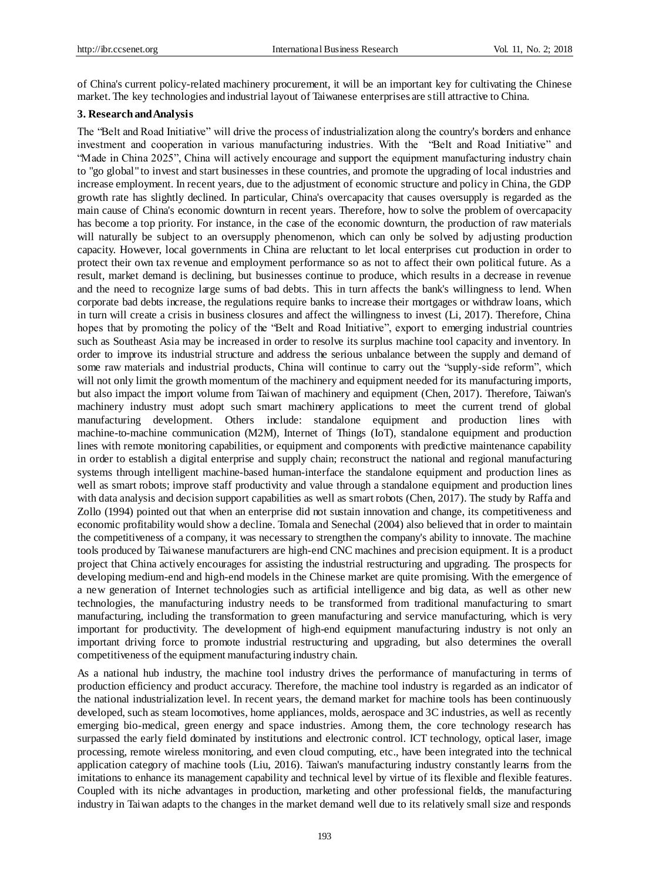of China's current policy-related machinery procurement, it will be an important key for cultivating the Chinese market. The key technologies and industrial layout of Taiwanese enterprises are still attractive to China.

### **3. Research and Analysis**

The "Belt and Road Initiative" will drive the process of industrialization along the country's borders and enhance investment and cooperation in various manufacturing industries. With the "Belt and Road Initiative" and "Made in China 2025", China will actively encourage and support the equipment manufacturing industry chain to "go global" to invest and start businesses in these countries, and promote the upgrading of local industries and increase employment. In recent years, due to the adjustment of economic structure and policy in China, the GDP growth rate has slightly declined. In particular, China's overcapacity that causes oversupply is regarded as the main cause of China's economic downturn in recent years. Therefore, how to solve the problem of overcapacity has become a top priority. For instance, in the case of the economic downturn, the production of raw materials will naturally be subject to an oversupply phenomenon, which can only be solved by adjusting production capacity. However, local governments in China are reluctant to let local enterprises cut production in order to protect their own tax revenue and employment performance so as not to affect their own political future. As a result, market demand is declining, but businesses continue to produce, which results in a decrease in revenue and the need to recognize large sums of bad debts. This in turn affects the bank's willingness to lend. When corporate bad debts increase, the regulations require banks to increase their mortgages or withdraw loans, which in turn will create a crisis in business closures and affect the willingness to invest (Li, 2017). Therefore, China hopes that by promoting the policy of the "Belt and Road Initiative", export to emerging industrial countries such as Southeast Asia may be increased in order to resolve its surplus machine tool capacity and inventory. In order to improve its industrial structure and address the serious unbalance between the supply and demand of some raw materials and industrial products, China will continue to carry out the "supply-side reform", which will not only limit the growth momentum of the machinery and equipment needed for its manufacturing imports, but also impact the import volume from Taiwan of machinery and equipment (Chen, 2017). Therefore, Taiwan's machinery industry must adopt such smart machinery applications to meet the current trend of global manufacturing development. Others include: standalone equipment and production lines with machine-to-machine communication (M2M), Internet of Things (IoT), standalone equipment and production lines with remote monitoring capabilities, or equipment and components with predictive maintenance capability in order to establish a digital enterprise and supply chain; reconstruct the national and regional manufacturing systems through intelligent machine-based human-interface the standalone equipment and production lines as well as smart robots; improve staff productivity and value through a standalone equipment and production lines with data analysis and decision support capabilities as well as smart robots (Chen, 2017). The study by Raffa and Zollo (1994) pointed out that when an enterprise did not sustain innovation and change, its competitiveness and economic profitability would show a decline. Tomala and Senechal (2004) also believed that in order to maintain the competitiveness of a company, it was necessary to strengthen the company's ability to innovate. The machine tools produced by Taiwanese manufacturers are high-end CNC machines and precision equipment. It is a product project that China actively encourages for assisting the industrial restructuring and upgrading. The prospects for developing medium-end and high-end models in the Chinese market are quite promising. With the emergence of a new generation of Internet technologies such as artificial intelligence and big data, as well as other new technologies, the manufacturing industry needs to be transformed from traditional manufacturing to smart manufacturing, including the transformation to green manufacturing and service manufacturing, which is very important for productivity. The development of high-end equipment manufacturing industry is not only an important driving force to promote industrial restructuring and upgrading, but also determines the overall competitiveness of the equipment manufacturing industry chain.

As a national hub industry, the machine tool industry drives the performance of manufacturing in terms of production efficiency and product accuracy. Therefore, the machine tool industry is regarded as an indicator of the national industrialization level. In recent years, the demand market for machine tools has been continuously developed, such as steam locomotives, home appliances, molds, aerospace and 3C industries, as well as recently emerging bio-medical, green energy and space industries. Among them, the core technology research has surpassed the early field dominated by institutions and electronic control. ICT technology, optical laser, image processing, remote wireless monitoring, and even cloud computing, etc., have been integrated into the technical application category of machine tools (Liu, 2016). Taiwan's manufacturing industry constantly learns from the imitations to enhance its management capability and technical level by virtue of its flexible and flexible features. Coupled with its niche advantages in production, marketing and other professional fields, the manufacturing industry in Taiwan adapts to the changes in the market demand well due to its relatively small size and responds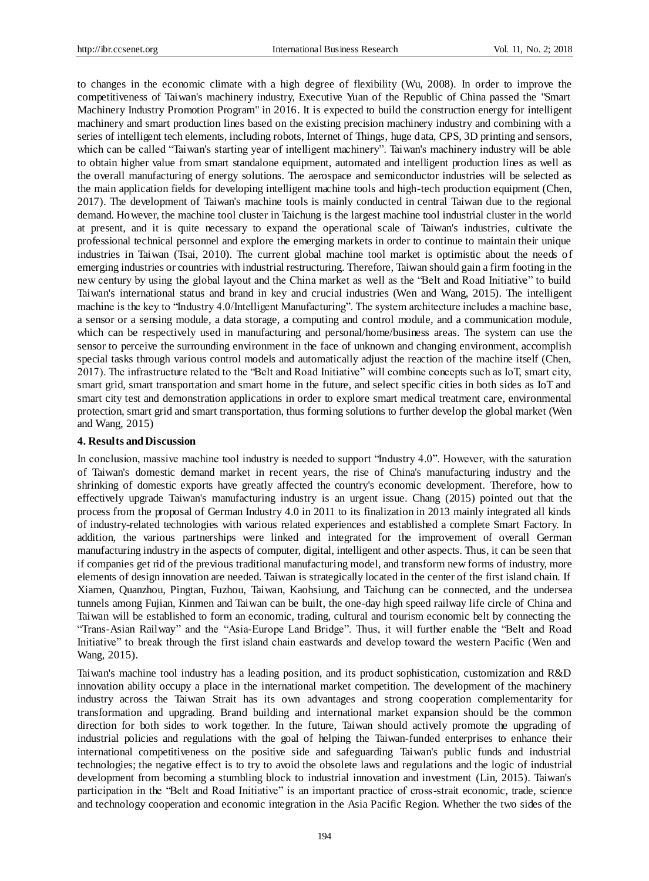to changes in the economic climate with a high degree of flexibility (Wu, 2008). In order to improve the competitiveness of Taiwan's machinery industry, Executive Yuan of the Republic of China passed the "Smart Machinery Industry Promotion Program" in 2016. It is expected to build the construction energy for intelligent machinery and smart production lines based on the existing precision machinery industry and combining with a series of intelligent tech elements, including robots, Internet of Things, huge data, CPS, 3D printing and sensors, which can be called "Taiwan's starting year of intelligent machinery". Taiwan's machinery industry will be able to obtain higher value from smart standalone equipment, automated and intelligent production lines as well as the overall manufacturing of energy solutions. The aerospace and semiconductor industries will be selected as the main application fields for developing intelligent machine tools and high-tech production equipment (Chen, 2017). The development of Taiwan's machine tools is mainly conducted in central Taiwan due to the regional demand. However, the machine tool cluster in Taichung is the largest machine tool industrial cluster in the world at present, and it is quite necessary to expand the operational scale of Taiwan's industries, cultivate the professional technical personnel and explore the emerging markets in order to continue to maintain their unique industries in Taiwan (Tsai, 2010). The current global machine tool market is optimistic about the needs of emerging industries or countries with industrial restructuring. Therefore, Taiwan should gain a firm footing in the new century by using the global layout and the China market as well as the "Belt and Road Initiative" to build Taiwan's international status and brand in key and crucial industries (Wen and Wang, 2015). The intelligent machine is the key to "Industry 4.0/Intelligent Manufacturing". The system architecture includes a machine base, a sensor or a sensing module, a data storage, a computing and control module, and a communication module, which can be respectively used in manufacturing and personal/home/business areas. The system can use the sensor to perceive the surrounding environment in the face of unknown and changing environment, accomplish special tasks through various control models and automatically adjust the reaction of the machine itself (Chen, 2017). The infrastructure related to the "Belt and Road Initiative" will combine concepts such as IoT, smart city, smart grid, smart transportation and smart home in the future, and select specific cities in both sides as IoT and smart city test and demonstration applications in order to explore smart medical treatment care, environmental protection, smart grid and smart transportation, thus forming solutions to further develop the global market (Wen and Wang, 2015)

#### **4. Results and Discussion**

In conclusion, massive machine tool industry is needed to support "Industry 4.0". However, with the saturation of Taiwan's domestic demand market in recent years, the rise of China's manufacturing industry and the shrinking of domestic exports have greatly affected the country's economic development. Therefore, how to effectively upgrade Taiwan's manufacturing industry is an urgent issue. Chang (2015) pointed out that the process from the proposal of German Industry 4.0 in 2011 to its finalization in 2013 mainly integrated all kinds of industry-related technologies with various related experiences and established a complete Smart Factory. In addition, the various partnerships were linked and integrated for the improvement of overall German manufacturing industry in the aspects of computer, digital, intelligent and other aspects. Thus, it can be seen that if companies get rid of the previous traditional manufacturing model, and transform new forms of industry, more elements of design innovation are needed. Taiwan is strategically located in the center of the first island chain. If Xiamen, Quanzhou, Pingtan, Fuzhou, Taiwan, Kaohsiung, and Taichung can be connected, and the undersea tunnels among Fujian, Kinmen and Taiwan can be built, the one-day high speed railway life circle of China and Taiwan will be established to form an economic, trading, cultural and tourism economic belt by connecting the "Trans-Asian Railway" and the "Asia-Europe Land Bridge". Thus, it will further enable the "Belt and Road Initiative" to break through the first island chain eastwards and develop toward the western Pacific (Wen and Wang, 2015).

Taiwan's machine tool industry has a leading position, and its product sophistication, customization and R&D innovation ability occupy a place in the international market competition. The development of the machinery industry across the Taiwan Strait has its own advantages and strong cooperation complementarity for transformation and upgrading. Brand building and international market expansion should be the common direction for both sides to work together. In the future, Taiwan should actively promote the upgrading of industrial policies and regulations with the goal of helping the Taiwan-funded enterprises to enhance their international competitiveness on the positive side and safeguarding Taiwan's public funds and industrial technologies; the negative effect is to try to avoid the obsolete laws and regulations and the logic of industrial development from becoming a stumbling block to industrial innovation and investment (Lin, 2015). Taiwan's participation in the "Belt and Road Initiative" is an important practice of cross-strait economic, trade, science and technology cooperation and economic integration in the Asia Pacific Region. Whether the two sides of the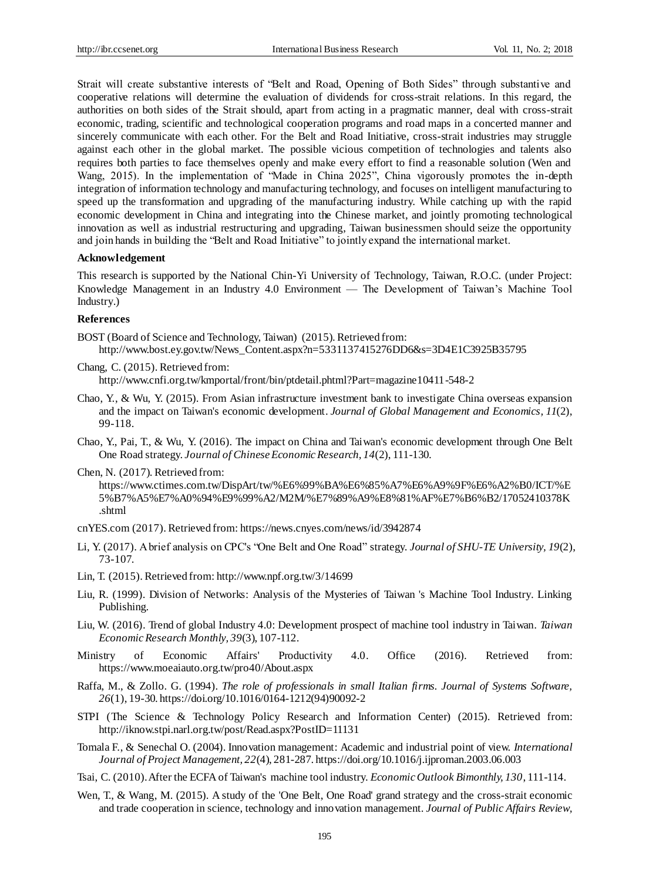Strait will create substantive interests of "Belt and Road, Opening of Both Sides" through substantive and cooperative relations will determine the evaluation of dividends for cross-strait relations. In this regard, the authorities on both sides of the Strait should, apart from acting in a pragmatic manner, deal with cross-strait economic, trading, scientific and technological cooperation programs and road maps in a concerted manner and sincerely communicate with each other. For the Belt and Road Initiative, cross-strait industries may struggle against each other in the global market. The possible vicious competition of technologies and talents also requires both parties to face themselves openly and make every effort to find a reasonable solution (Wen and Wang, 2015). In the implementation of "Made in China 2025", China vigorously promotes the in-depth integration of information technology and manufacturing technology, and focuses on intelligent manufacturing to speed up the transformation and upgrading of the manufacturing industry. While catching up with the rapid economic development in China and integrating into the Chinese market, and jointly promoting technological innovation as well as industrial restructuring and upgrading, Taiwan businessmen should seize the opportunity and join hands in building the "Belt and Road Initiative" to jointly expand the international market.

#### **Acknowledgement**

This research is supported by the National Chin-Yi University of Technology, Taiwan, R.O.C. (under Project: Knowledge Management in an Industry 4.0 Environment — The Development of Taiwan's Machine Tool Industry.)

#### **References**

BOST (Board of Science and Technology, Taiwan) (2015). Retrieved from: [http://www.bost.ey.gov.tw/News\\_Content.aspx?n=5331137415276DD6&s=3D4E1C3925B35795](http://www.bost.ey.gov.tw/News_Content.aspx?n=5331137415276DD6&s=3D4E1C3925B35795)

<http://www.cnfi.org.tw/kmportal/front/bin/ptdetail.phtml?Part=magazine10411-548->2

- Chao, Y., & Wu, Y. (2015). From Asian infrastructure investment bank to investigate China overseas expansion and the impact on Taiwan's economic development. *Journal of Global Management and Economics, 11*(2), 99-118.
- Chao, Y., Pai, T., & Wu, Y. (2016). The impact on China and Taiwan's economic development through One Belt One Road strategy. *Journal of Chinese Economic Research, 14*(2), 111-130.

Chen, N. (2017). Retrieved from:

[https://www.ctimes.com.tw/DispArt/tw/%E6%99%BA%E6%85%A7%E6%A9%9F%E6%A2%B0/ICT/%E](https://www.ctimes.com.tw/DispArt/tw/%E6%99%BA%E6%85%A7%E6%A9%9F%E6%A2%B0/ICT/%E5%B7%A5%E7%A0%94%E9%99%A2/M2M/%E7%89%A9%E8%81%AF%E7%B6%B2/17052410378K.shtml) [5%B7%A5%E7%A0%94%E9%99%A2/M2M/%E7%89%A9%E8%81%AF%E7%B6%B2/17052410378K](https://www.ctimes.com.tw/DispArt/tw/%E6%99%BA%E6%85%A7%E6%A9%9F%E6%A2%B0/ICT/%E5%B7%A5%E7%A0%94%E9%99%A2/M2M/%E7%89%A9%E8%81%AF%E7%B6%B2/17052410378K.shtml) [.shtml](https://www.ctimes.com.tw/DispArt/tw/%E6%99%BA%E6%85%A7%E6%A9%9F%E6%A2%B0/ICT/%E5%B7%A5%E7%A0%94%E9%99%A2/M2M/%E7%89%A9%E8%81%AF%E7%B6%B2/17052410378K.shtml)

- cnYES.com (2017). Retrieved from[: https://news.cnyes.com/news/id/3942874](https://news.cnyes.com/news/id/3942874)
- Li, Y. (2017). A brief analysis on CPC's "One Belt and One Road" strategy. *Journal of SHU-TE University, 19*(2), 73-107.
- Lin, T. (2015). Retrieved from[: http://www.npf.org.tw/3/14699](http://www.npf.org.tw/3/14699)
- Liu, R. (1999). Division of Networks: Analysis of the Mysteries of Taiwan 's Machine Tool Industry. Linking Publishing.
- Liu, W. (2016). Trend of global Industry 4.0: Development prospect of machine tool industry in Taiwan. *Taiwan Economic Research Monthly, 39*(3), 107-112.
- Ministry of Economic Affairs' Productivity 4.0. Office (2016). Retrieved from: <https://www.moeaiauto.org.tw/pro40/About.aspx>
- Raffa, M., & Zollo. G. (1994). *The role of professionals in small Italian firms. Journal of Systems Software, 26*(1), 19-30. [https://doi.org/10.1016/0164-1212\(94\)90092-2](https://doi.org/10.1016/0164-1212(94)90092-2)
- STPI (The Science & Technology Policy Research and Information Center) (2015). Retrieved from: <http://iknow.stpi.narl.org.tw/post/Read.aspx?PostID=11131>
- Tomala F., & Senechal O. (2004). Innovation management: Academic and industrial point of view. *International Journal of Project Management, 22*(4), 281-287. https://doi.org/10.1016/j.ijproman.2003.06.003
- Tsai, C. (2010). After the ECFA of Taiwan's machine tool industry. *Economic Outlook Bimonthly, 130*, 111-114.
- Wen, T., & Wang, M. (2015). A study of the 'One Belt, One Road' grand strategy and the cross-strait economic and trade cooperation in science, technology and innovation management. *Journal of Public Affairs Review,*

Chang, C. (2015). Retrieved from: